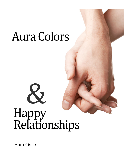## Aura Colors

 $\infty$ 

# Relationships Happy

Pam Oslie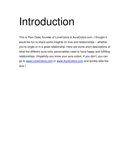### Introduction

This is Pam Oslie, founder of LoveColors & AuraColors.com. I thought it would be fun to share some insights on love and relationships – whether you're single or in a great relationship. Here are some short descriptions of what the different aura color personalities need to have happy and fulfilling relationships. (Hopefully you know your aura colors. If you don't, you can go to www.LoveColors.com or www.AuraColors.com and quickly take the quiz.)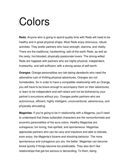### Colors

**Reds**: Anyone who is going to spend quality time with Reds will need to be healthy and in great physical shape. Most Reds enjoy strenuous, robust activities. They prefer partners who have strength, stamina, and vitality. There are the traditional, hardworking, salt-of-the-earth Reds, as well as the zesty, hot-blooded, physically passionate lovers. The strong-willed Reds are happiest with partners who are highly physical, independent, trustworthy, and self-sufficient, with a strong sense of self-worth.

**Oranges**: Orange personalities are risk-taking daredevils who need the adrenaline rush of thrilling physical adventures. Oranges are not homebodies. So in order to have a compatible relationship with an Orange, you will have to be brave enough to accompany them on their adventures, or learn to be independent and self-reliant and not be bothered by your partner's excursions without you. Oranges prefer partners who are autonomous, efficient, highly intelligent, unconventional, adventurous, and physically stimulating.

**Magentas**: If you're going to be in relationship with a Magenta, you'll need to understand that these outlandish characters are the nonconformists and eccentric personalities of the aura colors. Healthy Magentas are outrageous, fun loving, free spirited, and spontaneous. Magentas appreciate partners who can be zany and impulsive and able to tolerate, even enjoy, the Magenta's bizarre and shocking behavior. The more spontaneous and outrageous you are, the better. Magentas can become bored quickly if things become too predictable. They also don't like relationships that get too serious or demanding. To them, being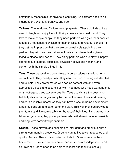emotionally responsible for anyone is confining. So partners need to be independent, wild, fun, creative, and free.

**Yellows**: The fun-loving Yellows need playmates. These big kids at heart need to laugh and enjoy life with their partner as their best friend. They love to make people happy, so they need partners who give them positive feedback, not constant criticism of their childlike and youthful behavior. If they get the impression that they are perpetually disappointing their partner, they will lose their natural enthusiasm and eventually give up trying to please their partner. They enjoy partners who are playful, happy, spontaneous, curious, optimistic, physically active and healthy, and content with the simple things in life.

**Tans**: These practical and down-to-earth personalities value long-term commitment. They need partners they can count on to be logical, devoted, and reliable. They prefer mates who can be content with and even appreciate a basic and secure lifestyle – not those who need extravagance or an outrageous and adventurous life. Tans usually are the ones who faithfully stay in marriages and jobs their entire lives. They work steadily and earn a reliable income so they can have a secure home environment, a healthy pension, and safe retirement plan. This way they can provide for their family and live comfortably for the rest of their lives. Tans are not risk takers or gamblers; they prefer partners who will share in a safe, sensible, and long-term committed partnership.

**Greens**: These movers and shakers are intelligent and ambitious with a strong, commanding presence. Greens want to live a well-respected and quality lifestyle. These driven, often workaholic Greens may not be at home much, however, so they prefer partners who are independent and self-reliant. Greens need to be able to respect and feel intellectually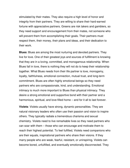stimulated by their mates. They also require a high level of honor and integrity from their partners. They are willing to share their hard-earned fortune with appreciative partners. Greens are risk takers and gamblers, so they need support and encouragement from their mates, not someone who will prevent them from accomplishing their goals. Their partners must respect them, their money, their plans and ideas, and their dedication to their work.

**Blues**: Blues are among the most nurturing and devoted partners. They live for love. One of their greatest joys and sources of fulfillment is knowing that they are in a loving, committed, and monogamous relationship. When Blues fall in love, there is nothing they will not do to keep their relationship together. What Blues needs from their life partner is love, monogamy, loyalty, faithfulness, emotional connection, mutual trust, and long-term commitment. Blues are often highly emotional beings so they need partners who are compassionate, kind, and understanding. Emotional intimacy is much more important to Blues than physical intimacy. They desire a strong emotional and supportive bond with their partner and a harmonious, spiritual, and love-filled home – and for it all to last forever.

**Violets**: Violets usually have strong, dynamic personalities. They are natural visionary leaders who often use their passion and vision to inspire others. They typically radiate a tremendous charisma and sexual chemistry. Violets need to live remarkable lives so they need partners who can soar with them – those who can encourage and motivate them to reach their highest potential. To feel fulfilled, Violets need companions who are their equals, inspirational partners who share their visions. If they marry people who are weak, fearful, resistant, or uninspiring, Violets can become bored, unfulfilled, and eventually emotionally disconnected. They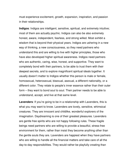must experience excitement, growth, expansion, inspiration, and passion in their relationships.

**Indigos**: Indigos are intelligent, sensitive, spiritual, and extremely intuitive; most of them are actually psychic. Indigos can also be also extremely honest, aware, independent, fearless, and strong willed. Most exhibit a wisdom that is beyond their physical years. Indigos are ushering in a new way of thinking, a new consciousness, so they need partners who understand this and are willing to live with higher principles, those who have also developed higher spiritual awareness. Indigos need partners who are authentic, caring, wise, honest, and supportive. They want to completely bond with their partners, to be able to trust them with their deepest secrets, and to explore magnificent spiritual ideals together. It usually doesn't matter to Indigos whether this person is male or female, homosexual, heterosexual, bisexual, asexual, a different nationality, or a different color. They relate to people's inner essence rather than their outer form – they want to bond soul to soul. Their partner needs to be able to understand, accept, and live at that same level.

**Lavenders**: If you're going to be in a relationship with Lavenders, this is what you may want to know. Lavenders are lovely, sensitive, whimsical creatures. They are innocent and childlike, wonderful explorers of the imagination. Daydreaming is one of their greatest pleasures. Lavenders are gentle free spirits who are not happy following rules. These fragile beings need partners who are willing to provide a beautiful, stress-free environment for them, rather than insist they become anything other than the gentle souls they are. Lavenders are happiest when they have partners who are willing to handle all the financial matters and take care of all the day-to-day responsibilities. They would rather be playfully creating than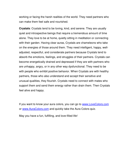working or facing the harsh realities of the world. They need partners who can make them feel safe and nourished.

**Crystals**: Crystals tend to be loving, kind, and serene. They are usually quiet and introspective beings that require a tremendous amount of time alone. They love to be at home, quietly sitting in meditation or connecting with their garden. Having clear auras, Crystals are chameleons who take on the energies of those around them. They need intelligent, happy, welladjusted, respectful, and considerate partners because Crystals tend to absorb the emotions, feelings, and struggles of their partners. Crystals can become energetically drained and depressed if they are with partners who are unhappy, angry, or in any other way dysfunctional. They need to be with people who exhibit positive behavior. When Crystals are with healthy partners, those who also understand and accept their sensitive and unusual qualities, they flourish. Crystals need to connect with mates who support them and send them energy rather than drain them. Then Crystals feel alive and happy.

If you want to know your aura colors, you can go to www.LoveColors.com or www.AuraColors.com and quickly take the Aura Colors quiz.

May you have a fun, fulfilling, and love-filled life!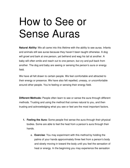### How to See or Sense Auras

**Natural Ability:** We all came into this lifetime with the ability to see auras. Infants and animals still see auras because they haven't been taught otherwise. A dog will growl and bark at one person, yet befriend and wag his tail at another. A baby will often smile and reach out to one person, but cry and pull back from another. The dog and baby are seeing or sensing the person's aura or energy field.

We have all felt drawn to certain people. We feel comfortable and attracted to their energy or presence. We have also felt repelled, uneasy, or uncomfortable around other people. You're feeling or sensing their energy field.

**Different Methods:** People often learn to see or sense the aura through different methods. Trusting and using the method that comes natural to you, and then trusting and acknowledging what you see or feel are the most important factors.

- **1. Feeling the Aura:** Some people first sense the aura through their physical bodies. Some are able to feel the heat from a person's aura through their hands.
	- a. **Exercise**: You may experiment with this method by holding the palms of your hands approximately three feet from a person's body and slowly moving in toward the body until you feel the sensation of heat or energy. In the beginning you may experience the sensation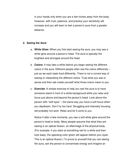in your hands only when you are a few inches away from the body. However, with trust, patience, and practice your sensitivity will increase and you will learn to feel a person's aura from a greater distance.

#### **2. Seeing the Aura:**

- a. **White Glow:** When you first start seeing the aura, you may see a white glow around a person's head. The aura is typically the brightest and strongest around the head.
- b. **Colors:** It may take a while before you begin seeing the different colors in the aura. Different people often see the colors differently – just as we each taste food differently. There is not a correct way of seeing or interpreting the different colors. Trust what you see or sense and then ask inside yourself what those colors mean to you.
- c. **Exercise**: A simple exercise to help you see the aura is to have someone stand in front of a white background while you relax and focus just above and beyond the person's head. Look above the person with "soft eyes" – the same way you have a soft focus when you daydream. Don't try too hard. Struggling and intensely focusing will probably not work. Relax and let it come to you.

Notice if after a few moments, you see a soft white glow around the person's head or body. Many people assume that what they are seeing is an optical illusion, an afterimage of the physical body. (For example, if you stare at something red for a while and then look away, the opposing color green will appear before your eyes. This is an optical illusion.) To prove to yourself that you are seeing the aura, ask the person to concentrate energy and imagine an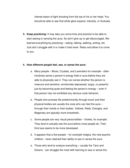intense beam of light shooting from the top of his or her head. You should be able to see that white glow expand, intensify, or fluctuate.

**3. Keep practicing:** It may take you some time and practice to be able to start seeing or sensing the aura. So don't give up or get discouraged. We learned everything by practicing – eating, talking, walking, writing, etc. Just don't struggle with it or make it hard work. Relax and allow it to come to you.

#### **4. How different people feel, see, or sense the aura:**

- a. Many people Blues, Crystals, and Lavenders for example often intuitively sense a person's energy field or aura before they are able to physically see it. They can sense whether the person is insecure and sensitive, emotionally depressed, angry, or powerful just by becoming quiet and feeling the person's energy – even if that person has not exhibited any obvious outer behavior.
- b. People who process life predominantly through touch and their physical bodies are usually the ones who can feel the aura – through their hands or their bodies. Yellows, Reds, Oranges, and Magentas are typically more kinesthetic.
- c. Some people are very visual personalities Violets, for example. They tend to actually see the aura before most people do. Their third eye seems to be more developed.
- d. It appears that a few people for example Indigos, the new psychic children - have retained their ability to see or sense the aura.
- e. Those who tend to analyze everything usually the Tans and Greens - can struggle the most with learning to see or sense the